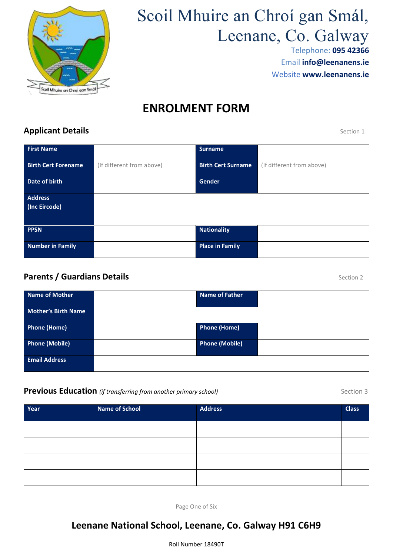

# Scoil Mhuire an Chroí gan Smál, Leenane, Co. Galway

Telephone: **095 42366** Email **[info@leenanens.ie](mailto:info@leenanens.ie)** Website **www.leenanens.ie**

# **ENROLMENT FORM**

## **Applicant Details** Section 1

| <b>First Name</b>               |                           | <b>Surname</b>            |                           |
|---------------------------------|---------------------------|---------------------------|---------------------------|
| <b>Birth Cert Forename</b>      | (If different from above) | <b>Birth Cert Surname</b> | (If different from above) |
| Date of birth                   |                           | <b>Gender</b>             |                           |
| <b>Address</b><br>(Inc Eircode) |                           |                           |                           |
| <b>PPSN</b>                     |                           | <b>Nationality</b>        |                           |
| <b>Number in Family</b>         |                           | <b>Place in Family</b>    |                           |

#### **Parents / Guardians Details Parents / Section 2**

| <b>Name of Mother</b>      | <b>Name of Father</b> |  |
|----------------------------|-----------------------|--|
| <b>Mother's Birth Name</b> |                       |  |
| <b>Phone (Home)</b>        | <b>Phone (Home)</b>   |  |
| <b>Phone (Mobile)</b>      | Phone (Mobile)        |  |
| <b>Email Address</b>       |                       |  |

#### **Previous Education** *(if transferring from another primary school)* **Section 3** Section 3

| Year | <b>Name of School</b> | <b>Address</b> | <b>Class</b> |
|------|-----------------------|----------------|--------------|
|      |                       |                |              |
|      |                       |                |              |
|      |                       |                |              |
|      |                       |                |              |
|      |                       |                |              |

Page One of Six

# **Leenane National School, Leenane, Co. Galway H91 C6H9**

Roll Number 18490T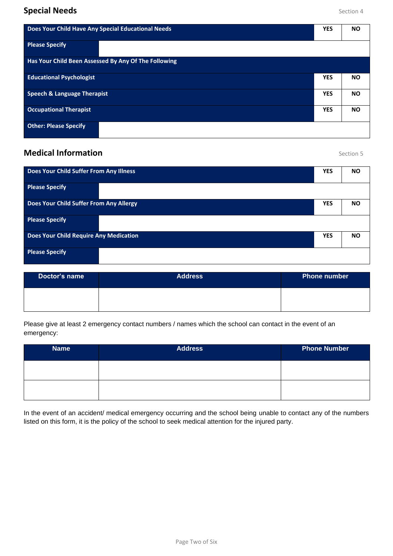| Does Your Child Have Any Special Educational Needs   |            | <b>NO</b> |
|------------------------------------------------------|------------|-----------|
| <b>Please Specify</b>                                |            |           |
| Has Your Child Been Assessed By Any Of The Following |            |           |
| <b>Educational Psychologist</b>                      | <b>YES</b> | <b>NO</b> |
| <b>Speech &amp; Language Therapist</b>               | <b>YES</b> | <b>NO</b> |
| <b>Occupational Therapist</b>                        | <b>YES</b> | <b>NO</b> |
| <b>Other: Please Specify</b>                         |            |           |

### **Medical Information** Section 5

| Does Your Child Suffer From Any Illness       | <b>YES</b> | <b>NO</b> |
|-----------------------------------------------|------------|-----------|
| <b>Please Specify</b>                         |            |           |
| Does Your Child Suffer From Any Allergy       | <b>YES</b> | <b>NO</b> |
| <b>Please Specify</b>                         |            |           |
| <b>Does Your Child Require Any Medication</b> | <b>YES</b> | <b>NO</b> |
| <b>Please Specify</b>                         |            |           |

| Doctor's name | <b>Address</b> | <b>Phone number</b> |
|---------------|----------------|---------------------|
|               |                |                     |

Please give at least 2 emergency contact numbers / names which the school can contact in the event of an emergency:

| <b>Name</b> | <b>Address</b> | <b>Phone Number</b> |
|-------------|----------------|---------------------|
|             |                |                     |
|             |                |                     |

In the event of an accident/ medical emergency occurring and the school being unable to contact any of the numbers listed on this form, it is the policy of the school to seek medical attention for the injured party.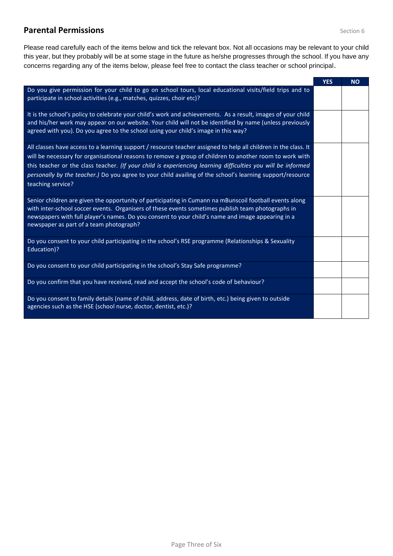### **Parental Permissions Constanting Constanting Constanting Constanting Constanting Constanting Constanting Constanting Constanting Constanting Constanting Constanting Constanting Constanting Constanting Constanting Consta**

Please read carefully each of the items below and tick the relevant box. Not all occasions may be relevant to your child this year, but they probably will be at some stage in the future as he/she progresses through the school. If you have any concerns regarding any of the items below, please feel free to contact the class teacher or school principal.

|                                                                                                                                                                                                                                                                                                                                                              | <b>YES</b> | <b>NO</b> |
|--------------------------------------------------------------------------------------------------------------------------------------------------------------------------------------------------------------------------------------------------------------------------------------------------------------------------------------------------------------|------------|-----------|
| Do you give permission for your child to go on school tours, local educational visits/field trips and to<br>participate in school activities (e.g., matches, quizzes, choir etc)?                                                                                                                                                                            |            |           |
| It is the school's policy to celebrate your child's work and achievements. As a result, images of your child<br>and his/her work may appear on our website. Your child will not be identified by name (unless previously<br>agreed with you). Do you agree to the school using your child's image in this way?                                               |            |           |
| All classes have access to a learning support / resource teacher assigned to help all children in the class. It<br>will be necessary for organisational reasons to remove a group of children to another room to work with                                                                                                                                   |            |           |
| this teacher or the class teacher. (If your child is experiencing learning difficulties you will be informed                                                                                                                                                                                                                                                 |            |           |
| personally by the teacher.) Do you agree to your child availing of the school's learning support/resource<br>teaching service?                                                                                                                                                                                                                               |            |           |
| Senior children are given the opportunity of participating in Cumann na mBunscoil football events along<br>with inter-school soccer events. Organisers of these events sometimes publish team photographs in<br>newspapers with full player's names. Do you consent to your child's name and image appearing in a<br>newspaper as part of a team photograph? |            |           |
| Do you consent to your child participating in the school's RSE programme (Relationships & Sexuality<br>Education)?                                                                                                                                                                                                                                           |            |           |
| Do you consent to your child participating in the school's Stay Safe programme?                                                                                                                                                                                                                                                                              |            |           |
| Do you confirm that you have received, read and accept the school's code of behaviour?                                                                                                                                                                                                                                                                       |            |           |
| Do you consent to family details (name of child, address, date of birth, etc.) being given to outside<br>agencies such as the HSE (school nurse, doctor, dentist, etc.)?                                                                                                                                                                                     |            |           |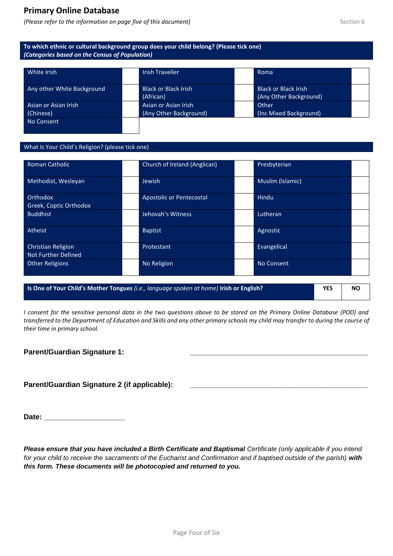#### **Primary Online Database**

*(Please refer to the information on page five of this document) Section 6* Section 6

#### **To which ethnic or cultural background group does your child belong? (Please tick one)** *(Categories based on the Census of Population)*

| White Irish                                            | <b>Irish Traveller</b>                         | Roma                                                  |  |
|--------------------------------------------------------|------------------------------------------------|-------------------------------------------------------|--|
| Any other White Background                             | Black or Black Irish<br>(African)              | <b>Black or Black Irish</b><br>(Any Other Background) |  |
| <b>Asian or Asian Irish</b><br>(Chinese)<br>No Consent | Asian or Asian Irish<br>(Any Other Background) | Other<br>(Inc Mixed Background)                       |  |

#### What Is Your Child's Religion? (please tick one)

| <b>Roman Catholic</b>                     |                                 | Church of Ireland (Anglican) | Presbyterian      |  |
|-------------------------------------------|---------------------------------|------------------------------|-------------------|--|
| Methodist, Wesleyan                       | Jewish                          |                              | Muslim (Islamic)  |  |
| Orthodox<br>Greek, Coptic Orthodox        | <b>Apostolic or Pentecostal</b> |                              | Hindu             |  |
| <b>Buddhist</b>                           | Jehovah's Witness               |                              | Lutheran          |  |
| Atheist                                   | <b>Baptist</b>                  |                              | Agnostic          |  |
| Christian Religion<br>Not Further Defined | Protestant                      |                              | Evangelical       |  |
| <b>Other Religions</b>                    | No Religion                     |                              | <b>No Consent</b> |  |

**Is One of Your Child's Mother Tongues** *(i.e., language spoken at home)* **Irish or English? YES NO**

*I consent for the sensitive personal data in the two questions above to be stored on the Primary Online Database (POD) and transferred to the Department of Education and Skills and any other primary schools my child may transfer to during the course of their time in primary school.*

#### **Parent/Guardian Signature 1:**

#### Parent/Guardian Signature 2 (if applicable):

Date: **Date: Date: Date: Date: Date:** 

*Please ensure that you have included a Birth Certificate and Baptismal Certificate (only applicable if you intend for your child to receive the sacraments of the Eucharist and Confirmation and if baptised outside of the parish) with this form. These documents will be photocopied and returned to you.*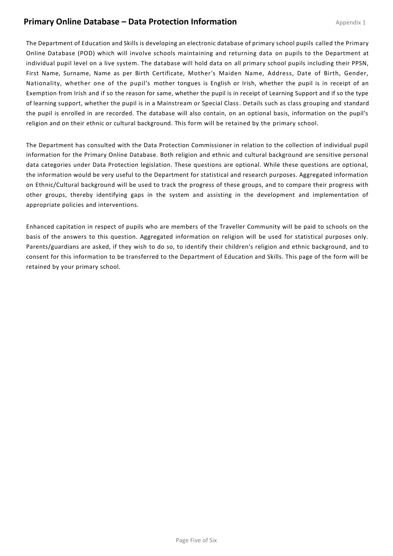#### **Primary Online Database – Data Protection Information**

The Department of Education and Skills is developing an electronic database of primary school pupils called the Primary Online Database (POD) which will involve schools maintaining and returning data on pupils to the Department at individual pupil level on a live system. The database will hold data on all primary school pupils including their PPSN, First Name, Surname, Name as per Birth Certificate, Mother's Maiden Name, Address, Date of Birth, Gender, Nationality, whether one of the pupil's mother tongues is English or Irish, whether the pupil is in receipt of an Exemption from Irish and if so the reason for same, whether the pupil is in receipt of Learning Support and if so the type of learning support, whether the pupil is in a Mainstream or Special Class. Details such as class grouping and standard the pupil is enrolled in are recorded. The database will also contain, on an optional basis, information on the pupil's religion and on their ethnic or cultural background. This form will be retained by the primary school.

The Department has consulted with the Data Protection Commissioner in relation to the collection of individual pupil information for the Primary Online Database. Both religion and ethnic and cultural background are sensitive personal data categories under Data Protection legislation. These questions are optional. While these questions are optional, the information would be very useful to the Department for statistical and research purposes. Aggregated information on Ethnic/Cultural background will be used to track the progress of these groups, and to compare their progress with other groups, thereby identifying gaps in the system and assisting in the development and implementation of appropriate policies and interventions.

Enhanced capitation in respect of pupils who are members of the Traveller Community will be paid to schools on the basis of the answers to this question. Aggregated information on religion will be used for statistical purposes only. Parents/guardians are asked, if they wish to do so, to identify their children's religion and ethnic background, and to consent for this information to be transferred to the Department of Education and Skills. This page of the form will be retained by your primary school.